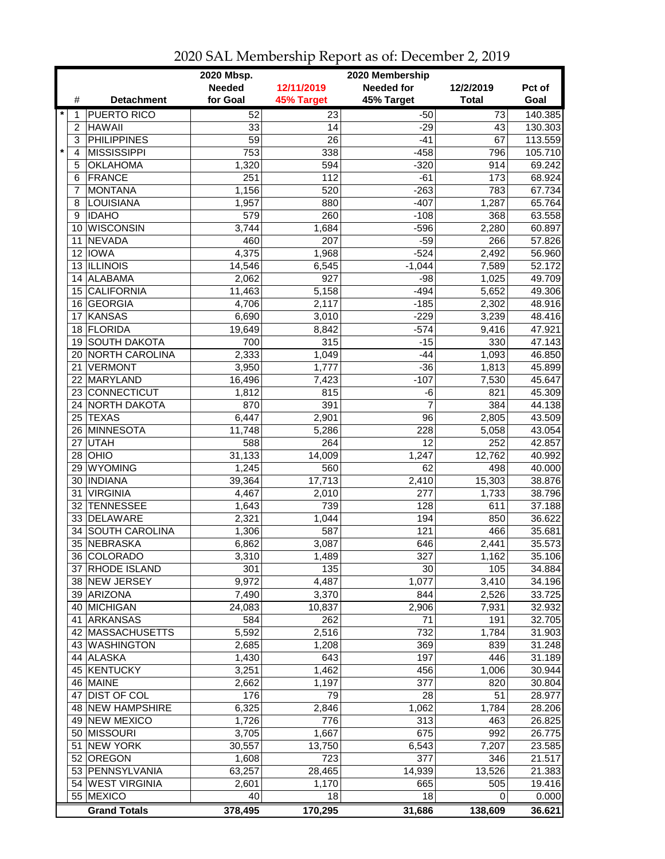|                 |                       | 2020 Mbsp.      |                 | 2020 Membership   |                 |         |
|-----------------|-----------------------|-----------------|-----------------|-------------------|-----------------|---------|
|                 |                       | <b>Needed</b>   | 12/11/2019      | <b>Needed for</b> | 12/2/2019       | Pct of  |
| #               | <b>Detachment</b>     | for Goal        | 45% Target      | 45% Target        | <b>Total</b>    | Goal    |
| $\star$<br>1    | <b>PUERTO RICO</b>    | 52              | 23              | $-50$             | $\overline{73}$ | 140.385 |
| $\overline{c}$  | <b>HAWAII</b>         | 33              | 14              | $-29$             | 43              | 130.303 |
| 3               | <b>PHILIPPINES</b>    | $\overline{59}$ | $\overline{26}$ | $-41$             | 67              | 113.559 |
| $\star$<br>4    | <b>MISSISSIPPI</b>    | 753             | 338             | $-458$            | 796             | 105.710 |
| 5               | <b>OKLAHOMA</b>       | 1,320           | 594             | $-320$            | 914             | 69.242  |
| 6               | <b>FRANCE</b>         | 251             | 112             | $-61$             | 173             | 68.924  |
| 7               | <b>MONTANA</b>        | 1,156           | 520             | $-263$            | 783             | 67.734  |
| 8               | LOUISIANA             | 1,957           | 880             | $-407$            | 1,287           | 65.764  |
| 9               | <b>IDAHO</b>          | 579             | 260             | $-108$            | 368             | 63.558  |
| 10              | <b>WISCONSIN</b>      | 3,744           | 1,684           | $-596$            | 2,280           | 60.897  |
| 11              | <b>NEVADA</b>         | 460             | 207             | $-59$             | 266             | 57.826  |
| 12 <sup>2</sup> | <b>IOWA</b>           | 4,375           | 1,968           | $-524$            | 2,492           | 56.960  |
| 13              | <b>ILLINOIS</b>       | 14,546          | 6,545           | $-1,044$          | 7,589           | 52.172  |
| 14              | <b>ALABAMA</b>        | 2,062           | 927             | $-98$             | 1,025           | 49.709  |
| 15              | <b>CALIFORNIA</b>     |                 |                 | $-494$            |                 | 49.306  |
|                 | <b>GEORGIA</b>        | 11,463          | 5,158           | $-185$            | 5,652           | 48.916  |
| 16              | <b>KANSAS</b>         | 4,706           | 2,117           | $-229$            | 2,302<br>3,239  | 48.416  |
| 17              | FLORIDA               | 6,690           | 3,010           | $-574$            |                 |         |
| 18              | <b>SOUTH DAKOTA</b>   | 19,649          | 8,842           |                   | 9,416           | 47.921  |
| 19              |                       | 700             | 315             | $-15$<br>$-44$    | 330             | 47.143  |
| 20              | <b>NORTH CAROLINA</b> | 2,333           | 1,049           |                   | 1,093           | 46.850  |
| 21              | <b>VERMONT</b>        | 3,950           | 1,777           | $-36$             | 1,813           | 45.899  |
|                 | 22 MARYLAND           | 16,496          | 7,423           | $-107$            | 7,530           | 45.647  |
|                 | 23 CONNECTICUT        | 1,812           | 815             | $-6$              | 821             | 45.309  |
|                 | 24 NORTH DAKOTA       | 870             | 391             | $\overline{7}$    | 384             | 44.138  |
|                 | 25 TEXAS              | 6,447           | 2,901           | 96                | 2,805           | 43.509  |
|                 | 26 MINNESOTA          | 11,748          | 5,286           | 228               | 5,058           | 43.054  |
| 27              | <b>UTAH</b>           | 588             | 264             | 12                | 252             | 42.857  |
| 28              | OHIO                  | 31,133          | 14,009          | 1,247             | 12,762          | 40.992  |
| 29              | <b>WYOMING</b>        | 1,245           | 560             | 62                | 498             | 40.000  |
| 30              | <b>INDIANA</b>        | 39,364          | 17,713          | 2,410             | 15,303          | 38.876  |
| 31              | <b>VIRGINIA</b>       | 4,467           | 2,010           | 277               | 1,733           | 38.796  |
| 32              | <b>TENNESSEE</b>      | 1,643           | 739             | 128               | 611             | 37.188  |
|                 | 33 DELAWARE           | 2,321           | 1,044           | 194               | 850             | 36.622  |
| 34              | SOUTH CAROLINA        | 1,306           | 587             | 121               | 466             | 35.681  |
| 35              | NEBRASKA              | 6,862           | 3,087           | 646               | 2,441           | 35.573  |
|                 | 36 COLORADO           | 3,310           | 1,489           | 327               | 1,162           | 35.106  |
|                 | 37 RHODE ISLAND       | 301             | 135             | 30                | 105             | 34.884  |
|                 | 38 NEW JERSEY         | 9,972           | 4,487           | 1,077             | 3,410           | 34.196  |
|                 | 39 ARIZONA            | 7,490           | 3,370           | 844               | 2,526           | 33.725  |
|                 | 40 MICHIGAN           | 24,083          | 10,837          | 2,906             | 7,931           | 32.932  |
|                 | 41 ARKANSAS           | 584             | 262             | 71                | 191             | 32.705  |
|                 | 42 MASSACHUSETTS      | 5,592           | 2,516           | 732               | 1,784           | 31.903  |
|                 | 43 WASHINGTON         | 2,685           | 1,208           | 369               | 839             | 31.248  |
|                 | 44 ALASKA             | 1,430           | 643             | 197               | 446             | 31.189  |
|                 | 45 KENTUCKY           | 3,251           | 1,462           | 456               | 1,006           | 30.944  |
|                 | 46 MAINE              | 2,662           | 1,197           | 377               | 820             | 30.804  |
| 47              | <b>DIST OF COL</b>    | 176             | 79              | 28                | 51              | 28.977  |
|                 | 48 NEW HAMPSHIRE      | 6,325           | 2,846           | 1,062             | 1,784           | 28.206  |
|                 | 49 NEW MEXICO         | 1,726           | 776             | 313               | 463             | 26.825  |
|                 | 50 MISSOURI           | 3,705           | 1,667           | 675               | 992             | 26.775  |
| 51              | <b>NEW YORK</b>       | 30,557          | 13,750          | 6,543             | 7,207           | 23.585  |
|                 | 52 OREGON             | 1,608           | 723             | 377               | 346             | 21.517  |
|                 | 53 PENNSYLVANIA       | 63,257          | 28,465          | 14,939            | 13,526          | 21.383  |
|                 | 54 WEST VIRGINIA      | 2,601           | 1,170           | 665               | 505             | 19.416  |
|                 | 55 MEXICO             | 40              | 18              | 18                | 0               | 0.000   |
|                 | <b>Grand Totals</b>   | 378,495         | 170,295         | 31,686            | 138,609         | 36.621  |

2020 SAL Membership Report as of: December 2, 2019